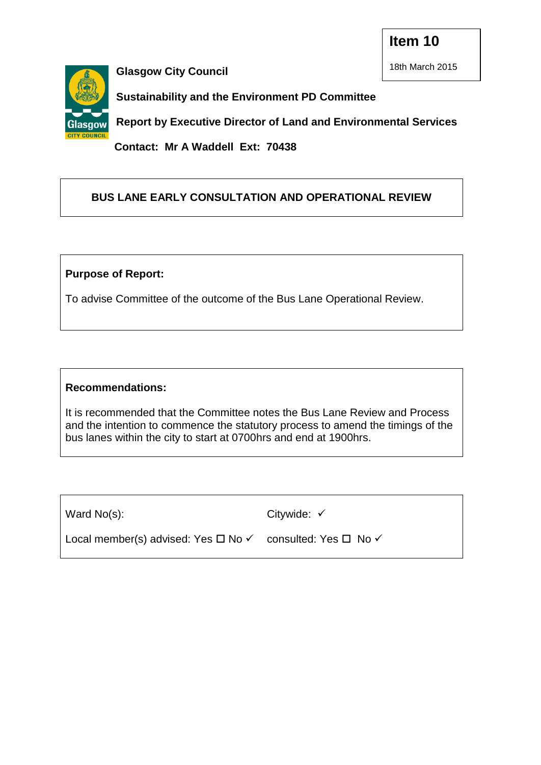**Item 10**



**Glasgow City Council**

18th March 2015

**Sustainability and the Environment PD Committee** 

**Report by Executive Director of Land and Environmental Services**

**Contact: Mr A Waddell Ext: 70438**

# **BUS LANE EARLY CONSULTATION AND OPERATIONAL REVIEW**

## **Purpose of Report:**

To advise Committee of the outcome of the Bus Lane Operational Review.

## **Recommendations:**

It is recommended that the Committee notes the Bus Lane Review and Process and the intention to commence the statutory process to amend the timings of the bus lanes within the city to start at 0700hrs and end at 1900hrs.

Ward No(s):

Citywide:  $\checkmark$ 

Local member(s) advised: Yes  $\Box$  No  $\checkmark$  consulted: Yes  $\Box$  No  $\checkmark$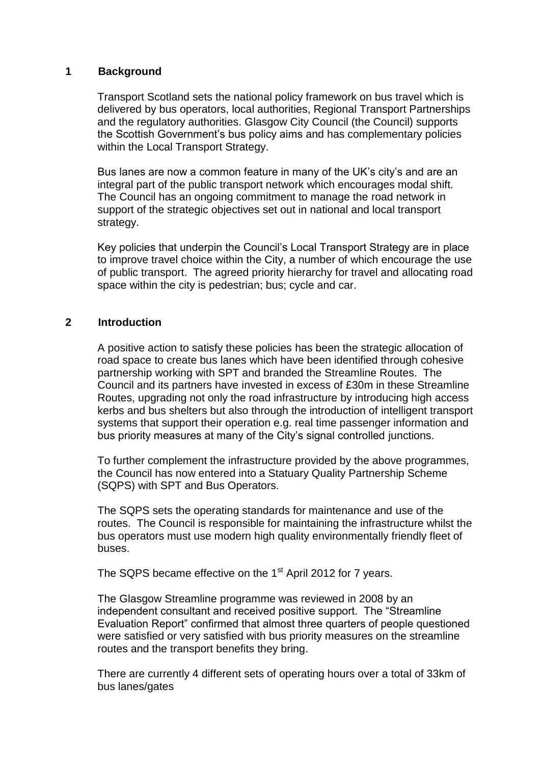### **1 Background**

Transport Scotland sets the national policy framework on bus travel which is delivered by bus operators, local authorities, Regional Transport Partnerships and the regulatory authorities. Glasgow City Council (the Council) supports the Scottish Government's bus policy aims and has complementary policies within the Local Transport Strategy.

Bus lanes are now a common feature in many of the UK's city's and are an integral part of the public transport network which encourages modal shift. The Council has an ongoing commitment to manage the road network in support of the strategic objectives set out in national and local transport strategy.

Key policies that underpin the Council's Local Transport Strategy are in place to improve travel choice within the City, a number of which encourage the use of public transport. The agreed priority hierarchy for travel and allocating road space within the city is pedestrian; bus; cycle and car.

#### **2 Introduction**

A positive action to satisfy these policies has been the strategic allocation of road space to create bus lanes which have been identified through cohesive partnership working with SPT and branded the Streamline Routes. The Council and its partners have invested in excess of £30m in these Streamline Routes, upgrading not only the road infrastructure by introducing high access kerbs and bus shelters but also through the introduction of intelligent transport systems that support their operation e.g. real time passenger information and bus priority measures at many of the City's signal controlled junctions.

To further complement the infrastructure provided by the above programmes, the Council has now entered into a Statuary Quality Partnership Scheme (SQPS) with SPT and Bus Operators.

The SQPS sets the operating standards for maintenance and use of the routes. The Council is responsible for maintaining the infrastructure whilst the bus operators must use modern high quality environmentally friendly fleet of buses.

The SQPS became effective on the 1<sup>st</sup> April 2012 for 7 years.

The Glasgow Streamline programme was reviewed in 2008 by an independent consultant and received positive support. The "Streamline Evaluation Report" confirmed that almost three quarters of people questioned were satisfied or very satisfied with bus priority measures on the streamline routes and the transport benefits they bring.

There are currently 4 different sets of operating hours over a total of 33km of bus lanes/gates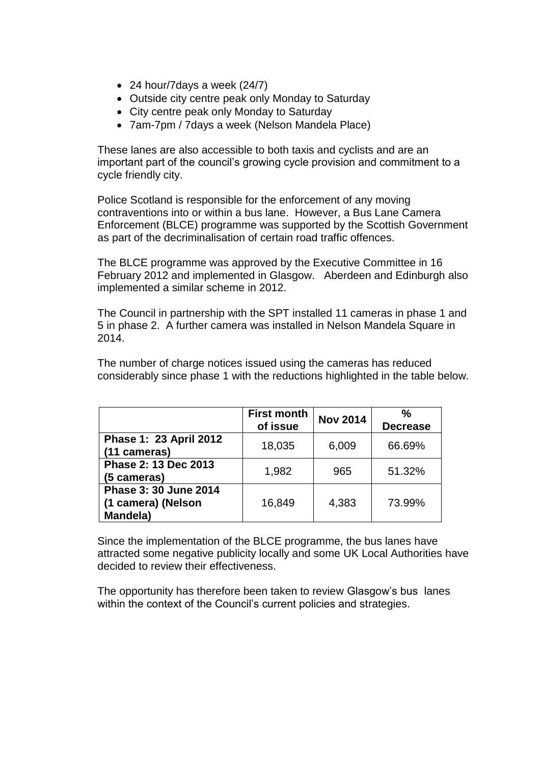- 24 hour/7 days a week (24/7)
- Outside city centre peak only Monday to Saturday
- City centre peak only Monday to Saturday
- 7am-7pm / 7days a week (Nelson Mandela Place)

These lanes are also accessible to both taxis and cyclists and are an important part of the council's growing cycle provision and commitment to a cycle friendly city.

Police Scotland is responsible for the enforcement of any moving contraventions into or within a bus lane. However, a Bus Lane Camera Enforcement (BLCE) programme was supported by the Scottish Government as part of the decriminalisation of certain road traffic offences.

The BLCE programme was approved by the Executive Committee in 16 February 2012 and implemented in Glasgow. Aberdeen and Edinburgh also implemented a similar scheme in 2012.

The Council in partnership with the SPT installed 11 cameras in phase 1 and 5 in phase 2. A further camera was installed in Nelson Mandela Square in 2014.

The number of charge notices issued using the cameras has reduced considerably since phase 1 with the reductions highlighted in the table below.

|                                                         | <b>First month</b><br>of issue | <b>Nov 2014</b> | $\frac{0}{0}$<br><b>Decrease</b> |
|---------------------------------------------------------|--------------------------------|-----------------|----------------------------------|
| Phase 1: 23 April 2012<br>(11 cameras)                  | 18,035                         | 6,009           | 66.69%                           |
| Phase 2: 13 Dec 2013<br>(5 cameras)                     | 1,982                          | 965             | 51.32%                           |
| Phase 3: 30 June 2014<br>(1 camera) (Nelson<br>Mandela) | 16,849                         | 4,383           | 73.99%                           |

Since the implementation of the BLCE programme, the bus lanes have attracted some negative publicity locally and some UK Local Authorities have decided to review their effectiveness.

The opportunity has therefore been taken to review Glasgow's bus lanes within the context of the Council's current policies and strategies.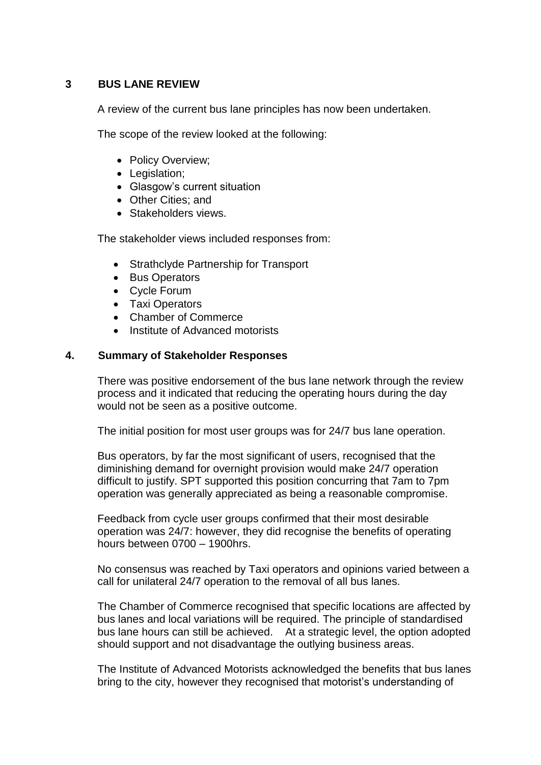## **3 BUS LANE REVIEW**

A review of the current bus lane principles has now been undertaken.

The scope of the review looked at the following:

- Policy Overview;
- Legislation;
- Glasgow's current situation
- Other Cities; and
- Stakeholders views.

The stakeholder views included responses from:

- Strathclyde Partnership for Transport
- Bus Operators
- Cycle Forum
- Taxi Operators
- Chamber of Commerce
- Institute of Advanced motorists

### **4. Summary of Stakeholder Responses**

There was positive endorsement of the bus lane network through the review process and it indicated that reducing the operating hours during the day would not be seen as a positive outcome.

The initial position for most user groups was for 24/7 bus lane operation.

Bus operators, by far the most significant of users, recognised that the diminishing demand for overnight provision would make 24/7 operation difficult to justify. SPT supported this position concurring that 7am to 7pm operation was generally appreciated as being a reasonable compromise.

Feedback from cycle user groups confirmed that their most desirable operation was 24/7: however, they did recognise the benefits of operating hours between 0700 – 1900hrs.

No consensus was reached by Taxi operators and opinions varied between a call for unilateral 24/7 operation to the removal of all bus lanes.

The Chamber of Commerce recognised that specific locations are affected by bus lanes and local variations will be required. The principle of standardised bus lane hours can still be achieved. At a strategic level, the option adopted should support and not disadvantage the outlying business areas.

The Institute of Advanced Motorists acknowledged the benefits that bus lanes bring to the city, however they recognised that motorist's understanding of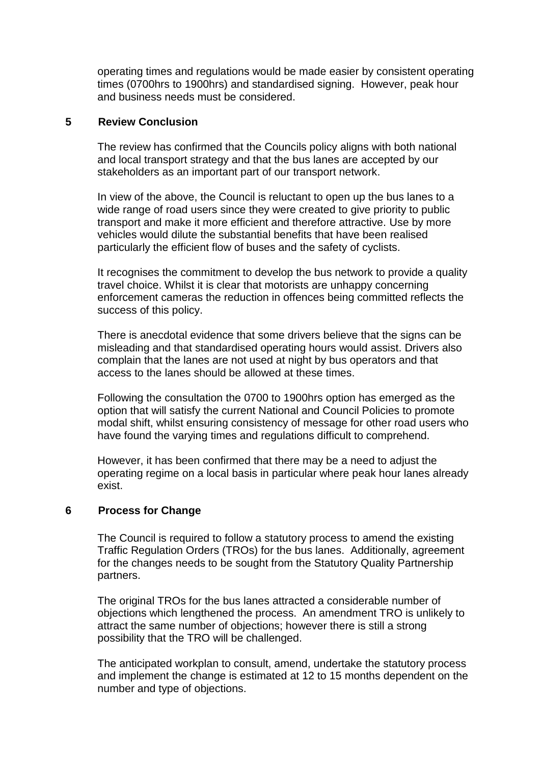operating times and regulations would be made easier by consistent operating times (0700hrs to 1900hrs) and standardised signing. However, peak hour and business needs must be considered.

#### **5 Review Conclusion**

The review has confirmed that the Councils policy aligns with both national and local transport strategy and that the bus lanes are accepted by our stakeholders as an important part of our transport network.

In view of the above, the Council is reluctant to open up the bus lanes to a wide range of road users since they were created to give priority to public transport and make it more efficient and therefore attractive. Use by more vehicles would dilute the substantial benefits that have been realised particularly the efficient flow of buses and the safety of cyclists.

It recognises the commitment to develop the bus network to provide a quality travel choice. Whilst it is clear that motorists are unhappy concerning enforcement cameras the reduction in offences being committed reflects the success of this policy.

There is anecdotal evidence that some drivers believe that the signs can be misleading and that standardised operating hours would assist. Drivers also complain that the lanes are not used at night by bus operators and that access to the lanes should be allowed at these times.

Following the consultation the 0700 to 1900hrs option has emerged as the option that will satisfy the current National and Council Policies to promote modal shift, whilst ensuring consistency of message for other road users who have found the varying times and regulations difficult to comprehend.

However, it has been confirmed that there may be a need to adjust the operating regime on a local basis in particular where peak hour lanes already exist.

#### **6 Process for Change**

The Council is required to follow a statutory process to amend the existing Traffic Regulation Orders (TROs) for the bus lanes. Additionally, agreement for the changes needs to be sought from the Statutory Quality Partnership partners.

The original TROs for the bus lanes attracted a considerable number of objections which lengthened the process. An amendment TRO is unlikely to attract the same number of objections; however there is still a strong possibility that the TRO will be challenged.

The anticipated workplan to consult, amend, undertake the statutory process and implement the change is estimated at 12 to 15 months dependent on the number and type of objections.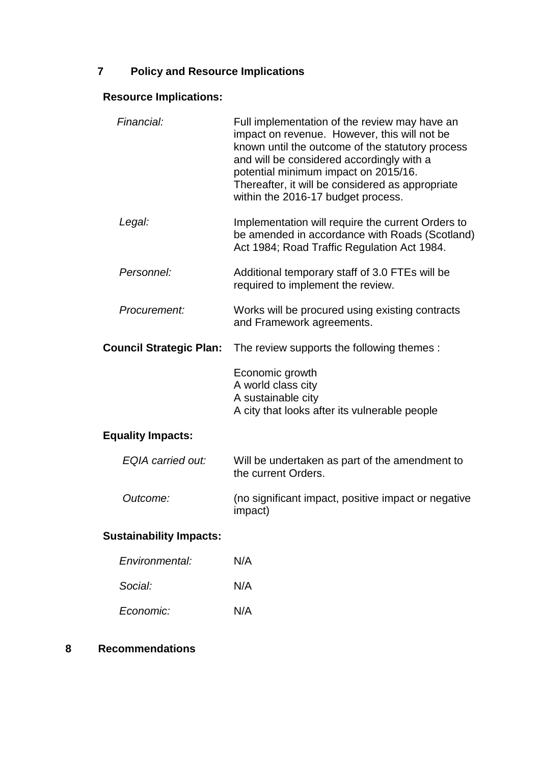# **7 Policy and Resource Implications**

# **Resource Implications:**

| Financial:                     | Full implementation of the review may have an<br>impact on revenue. However, this will not be<br>known until the outcome of the statutory process<br>and will be considered accordingly with a<br>potential minimum impact on 2015/16.<br>Thereafter, it will be considered as appropriate<br>within the 2016-17 budget process. |
|--------------------------------|----------------------------------------------------------------------------------------------------------------------------------------------------------------------------------------------------------------------------------------------------------------------------------------------------------------------------------|
| Legal:                         | Implementation will require the current Orders to<br>be amended in accordance with Roads (Scotland)<br>Act 1984; Road Traffic Regulation Act 1984.                                                                                                                                                                               |
| Personnel:                     | Additional temporary staff of 3.0 FTEs will be<br>required to implement the review.                                                                                                                                                                                                                                              |
| Procurement:                   | Works will be procured using existing contracts<br>and Framework agreements.                                                                                                                                                                                                                                                     |
| <b>Council Strategic Plan:</b> | The review supports the following themes :                                                                                                                                                                                                                                                                                       |
|                                | Economic growth                                                                                                                                                                                                                                                                                                                  |
|                                | A world class city<br>A sustainable city<br>A city that looks after its vulnerable people                                                                                                                                                                                                                                        |
| <b>Equality Impacts:</b>       |                                                                                                                                                                                                                                                                                                                                  |
| EQIA carried out:              | Will be undertaken as part of the amendment to<br>the current Orders.                                                                                                                                                                                                                                                            |
| Outcome:                       | (no significant impact, positive impact or negative<br>impact)                                                                                                                                                                                                                                                                   |

| Environmental: | N/A |
|----------------|-----|
| Social:        | N/A |
| Economic:      | N/A |

## **8 Recommendations**